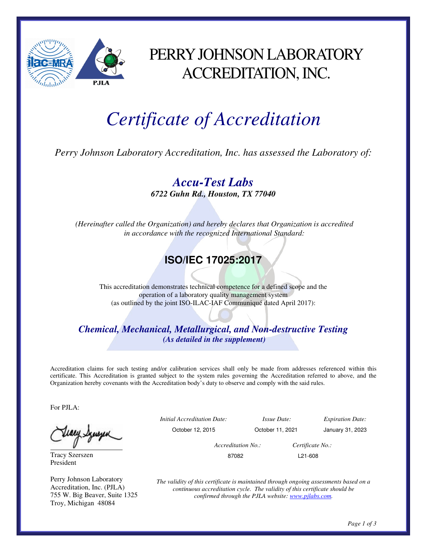

## PERRY JOHNSON LABORATORY ACCREDITATION, INC.

## *Certificate of Accreditation*

*Perry Johnson Laboratory Accreditation, Inc. has assessed the Laboratory of:* 

*Accu-Test Labs 6722 Guhn Rd., Houston, TX 77040* 

 *(Hereinafter called the Organization) and hereby declares that Organization is accredited in accordance with the recognized International Standard:* 

## **ISO/IEC 17025:2017**

This accreditation demonstrates technical competence for a defined scope and the operation of a laboratory quality management system (as outlined by the joint ISO-ILAC-IAF Communiqué dated April 2017):

*Chemical, Mechanical, Metallurgical, and Non-destructive Testing (As detailed in the supplement)* 

Accreditation claims for such testing and/or calibration services shall only be made from addresses referenced within this certificate. This Accreditation is granted subject to the system rules governing the Accreditation referred to above, and the Organization hereby covenants with the Accreditation body's duty to observe and comply with the said rules.

For PJLA:

Tracy Szerszen President

Perry Johnson Laboratory Accreditation, Inc. (PJLA) 755 W. Big Beaver, Suite 1325 Troy, Michigan 48084

*Initial Accreditation Date: Issue Date: Expiration Date:*  October 12, 2015 October 11, 2021 January 31, 2023

 *Accreditation No.: Certificate No.:*  87082 L21-608

*The validity of this certificate is maintained through ongoing assessments based on a continuous accreditation cycle. The validity of this certificate should be confirmed through the PJLA website: www.pjlabs.com.*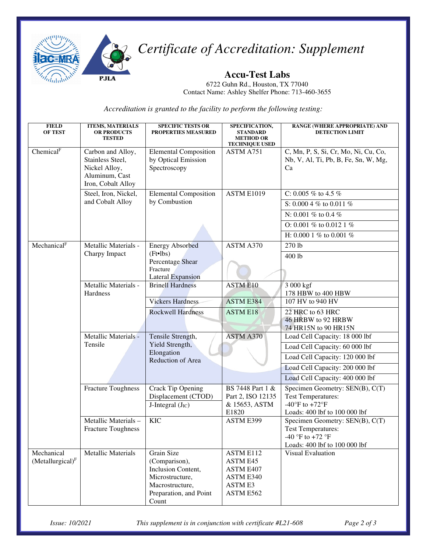

*Certificate of Accreditation: Supplement* 

**Accu-Test Labs**  6722 Guhn Rd., Houston, TX 77040

Contact Name: Ashley Shelfer Phone: 713-460-3655

*Accreditation is granted to the facility to perform the following testing:*

| <b>FIELD</b><br><b>OF TEST</b>             | <b>ITEMS, MATERIALS</b><br><b>OR PRODUCTS</b><br><b>TESTED</b>                                 | <b>SPECIFIC TESTS OR</b><br><b>PROPERTIES MEASURED</b>                                                                     | SPECIFICATION,<br><b>STANDARD</b><br><b>METHOD OR</b><br><b>TECHNIQUE USED</b>        | RANGE (WHERE APPROPRIATE) AND<br><b>DETECTION LIMIT</b>                                                                                                                   |
|--------------------------------------------|------------------------------------------------------------------------------------------------|----------------------------------------------------------------------------------------------------------------------------|---------------------------------------------------------------------------------------|---------------------------------------------------------------------------------------------------------------------------------------------------------------------------|
| Chemical <sup>F</sup>                      | Carbon and Alloy,<br>Stainless Steel,<br>Nickel Alloy,<br>Aluminum, Cast<br>Iron, Cobalt Alloy | <b>Elemental Composition</b><br>by Optical Emission<br>Spectroscopy                                                        | ASTM A751                                                                             | C, Mn, P, S, Si, Cr, Mo, Ni, Cu, Co,<br>Nb, V, Al, Ti, Pb, B, Fe, Sn, W, Mg,<br>Ca                                                                                        |
|                                            | Steel, Iron, Nickel,<br>and Cobalt Alloy                                                       | <b>Elemental Composition</b><br>by Combustion                                                                              | ASTM E1019                                                                            | C: 0.005 $%$ to 4.5 $%$<br>S: 0.000 4 % to 0.011 %<br>N: 0.001 % to 0.4 %<br>O: 0.001 % to 0.012 1 %<br>H: 0.000 1 % to 0.001 %                                           |
| Mechanical <sup>F</sup>                    | Metallic Materials -<br>Charpy Impact                                                          | <b>Energy Absorbed</b><br>$(Ft \cdot lbs)$<br>Percentage Shear<br>Fracture<br><b>Lateral Expansion</b>                     | ASTM A370                                                                             | 270 lb<br>400 lb                                                                                                                                                          |
|                                            | Metallic Materials -<br>Hardness                                                               | <b>Brinell Hardness</b>                                                                                                    | <b>ASTM E10</b>                                                                       | 3 000 kgf<br>178 HBW to 400 HBW                                                                                                                                           |
|                                            |                                                                                                | <b>Vickers Hardness</b><br><b>Rockwell Hardness</b>                                                                        | <b>ASTM E384</b><br><b>ASTM E18</b>                                                   | 107 HV to 940 HV<br>22 HRC to 63 HRC<br>46 HRBW to 92 HRBW<br>74 HR15N to 90 HR15N                                                                                        |
|                                            | Metallic Materials -<br>Tensile                                                                | Tensile Strength,<br>Yield Strength,<br>Elongation<br>Reduction of Area                                                    | <b>ASTM A370</b>                                                                      | Load Cell Capacity: 18 000 lbf<br>Load Cell Capacity: 60 000 lbf<br>Load Cell Capacity: 120 000 lbf<br>Load Cell Capacity: 200 000 lbf<br>Load Cell Capacity: 400 000 lbf |
|                                            | <b>Fracture Toughness</b>                                                                      | Crack Tip Opening<br>Displacement (CTOD)<br>J-Integral $(JIC)$                                                             | BS 7448 Part 1 &<br>Part 2, ISO 12135<br>& 15653, ASTM<br>E1820                       | Specimen Geometry: SEN(B), C(T)<br><b>Test Temperatures:</b><br>-40 $\mathrm{^{\circ}F}$ to +72 $\mathrm{^{\circ}F}$<br>Loads: 400 lbf to 100 000 lbf                     |
|                                            | Metallic Materials-<br><b>Fracture Toughness</b>                                               | <b>KIC</b>                                                                                                                 | <b>ASTM E399</b>                                                                      | Specimen Geometry: SEN(B), C(T)<br><b>Test Temperatures:</b><br>$-40$ °F to $+72$ °F<br>Loads: 400 lbf to 100 000 lbf                                                     |
| Mechanical<br>(Metallurgical) <sup>F</sup> | <b>Metallic Materials</b>                                                                      | Grain Size<br>(Comparison),<br>Inclusion Content,<br>Microstructure,<br>Macrostructure,<br>Preparation, and Point<br>Count | <b>ASTM E112</b><br>ASTM E45<br>ASTM E407<br>ASTM E340<br><b>ASTM E3</b><br>ASTM E562 | Visual Evaluation                                                                                                                                                         |

*Issue: 10/2021 This supplement is in conjunction with certificate #L21-608 Page 2 of 3*